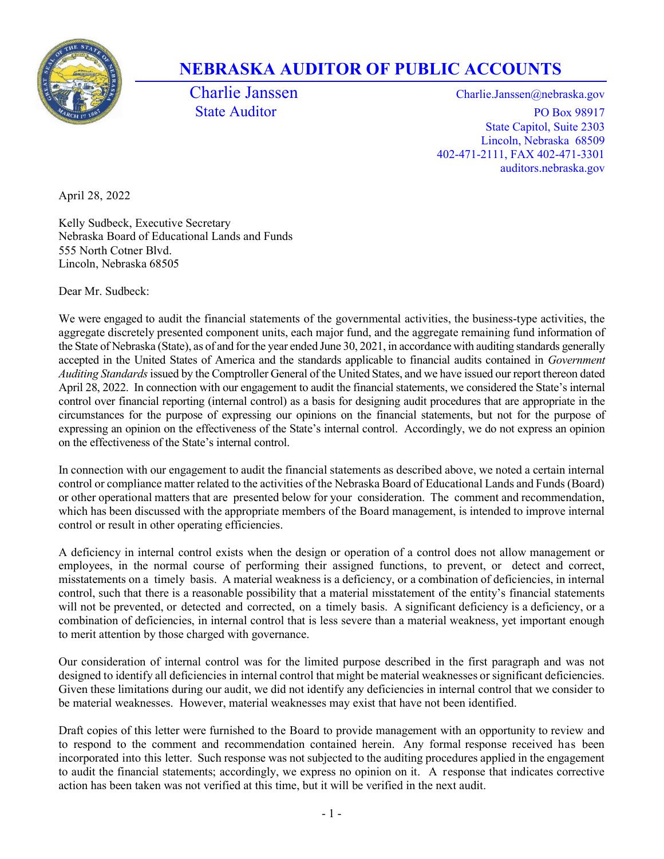

## NEBRASKA AUDITOR OF PUBLIC ACCOUNTS

Charlie Janssen Charlie.Janssen @nebraska.gov State Auditor PO Box 98917 State Capitol, Suite 2303 Lincoln, Nebraska 68509 402-471-2111, FAX 402-471-3301 auditors.nebraska.gov

April 28, 2022

Kelly Sudbeck, Executive Secretary Nebraska Board of Educational Lands and Funds 555 North Cotner Blvd. Lincoln, Nebraska 68505

Dear Mr. Sudbeck:

We were engaged to audit the financial statements of the governmental activities, the business-type activities, the aggregate discretely presented component units, each major fund, and the aggregate remaining fund information of the State of Nebraska (State), as of and for the year ended June 30, 2021, in accordance with auditing standards generally accepted in the United States of America and the standards applicable to financial audits contained in Government Auditing Standards issued by the Comptroller General of the United States, and we have issued our report thereon dated April 28, 2022. In connection with our engagement to audit the financial statements, we considered the State's internal control over financial reporting (internal control) as a basis for designing audit procedures that are appropriate in the circumstances for the purpose of expressing our opinions on the financial statements, but not for the purpose of expressing an opinion on the effectiveness of the State's internal control. Accordingly, we do not express an opinion on the effectiveness of the State's internal control.

In connection with our engagement to audit the financial statements as described above, we noted a certain internal control or compliance matter related to the activities of the Nebraska Board of Educational Lands and Funds (Board) or other operational matters that are presented below for your consideration. The comment and recommendation, which has been discussed with the appropriate members of the Board management, is intended to improve internal control or result in other operating efficiencies.

A deficiency in internal control exists when the design or operation of a control does not allow management or employees, in the normal course of performing their assigned functions, to prevent, or detect and correct, misstatements on a timely basis. A material weakness is a deficiency, or a combination of deficiencies, in internal control, such that there is a reasonable possibility that a material misstatement of the entity's financial statements will not be prevented, or detected and corrected, on a timely basis. A significant deficiency is a deficiency, or a combination of deficiencies, in internal control that is less severe than a material weakness, yet important enough to merit attention by those charged with governance.

Our consideration of internal control was for the limited purpose described in the first paragraph and was not designed to identify all deficiencies in internal control that might be material weaknesses or significant deficiencies. Given these limitations during our audit, we did not identify any deficiencies in internal control that we consider to be material weaknesses. However, material weaknesses may exist that have not been identified.

Draft copies of this letter were furnished to the Board to provide management with an opportunity to review and to respond to the comment and recommendation contained herein. Any formal response received has been incorporated into this letter. Such response was not subjected to the auditing procedures applied in the engagement to audit the financial statements; accordingly, we express no opinion on it. A response that indicates corrective action has been taken was not verified at this time, but it will be verified in the next audit.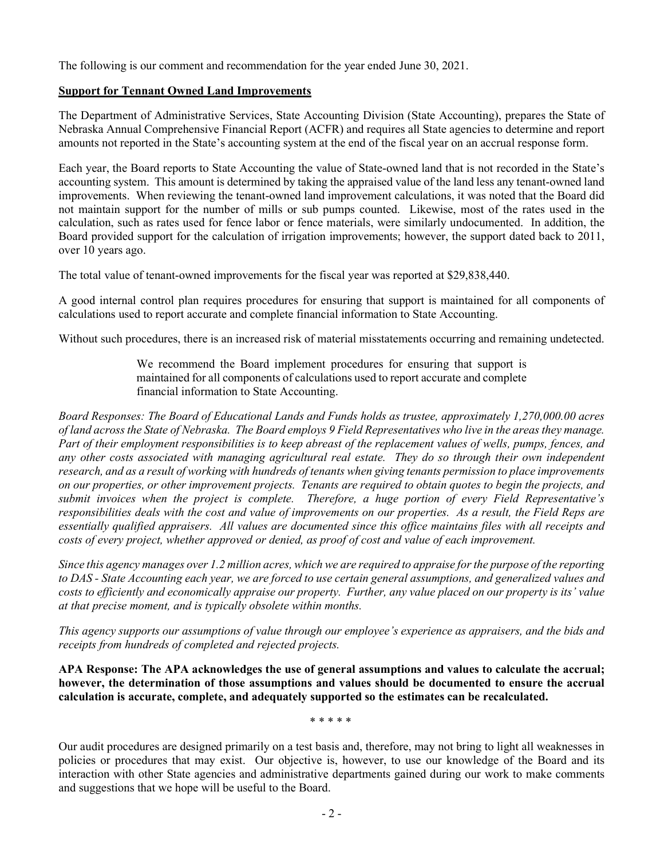The following is our comment and recommendation for the year ended June 30, 2021.

## Support for Tennant Owned Land Improvements

The Department of Administrative Services, State Accounting Division (State Accounting), prepares the State of Nebraska Annual Comprehensive Financial Report (ACFR) and requires all State agencies to determine and report amounts not reported in the State's accounting system at the end of the fiscal year on an accrual response form.

Each year, the Board reports to State Accounting the value of State-owned land that is not recorded in the State's accounting system. This amount is determined by taking the appraised value of the land less any tenant-owned land improvements. When reviewing the tenant-owned land improvement calculations, it was noted that the Board did not maintain support for the number of mills or sub pumps counted. Likewise, most of the rates used in the calculation, such as rates used for fence labor or fence materials, were similarly undocumented. In addition, the Board provided support for the calculation of irrigation improvements; however, the support dated back to 2011, over 10 years ago.

The total value of tenant-owned improvements for the fiscal year was reported at \$29,838,440.

A good internal control plan requires procedures for ensuring that support is maintained for all components of calculations used to report accurate and complete financial information to State Accounting.

Without such procedures, there is an increased risk of material misstatements occurring and remaining undetected.

We recommend the Board implement procedures for ensuring that support is maintained for all components of calculations used to report accurate and complete financial information to State Accounting.

Board Responses: The Board of Educational Lands and Funds holds as trustee, approximately 1,270,000.00 acres of land across the State of Nebraska. The Board employs 9 Field Representatives who live in the areas they manage. Part of their employment responsibilities is to keep abreast of the replacement values of wells, pumps, fences, and any other costs associated with managing agricultural real estate. They do so through their own independent research, and as a result of working with hundreds of tenants when giving tenants permission to place improvements on our properties, or other improvement projects. Tenants are required to obtain quotes to begin the projects, and submit invoices when the project is complete. Therefore, a huge portion of every Field Representative's responsibilities deals with the cost and value of improvements on our properties. As a result, the Field Reps are essentially qualified appraisers. All values are documented since this office maintains files with all receipts and costs of every project, whether approved or denied, as proof of cost and value of each improvement.

Since this agency manages over 1.2 million acres, which we are required to appraise for the purpose of the reporting to DAS - State Accounting each year, we are forced to use certain general assumptions, and generalized values and costs to efficiently and economically appraise our property. Further, any value placed on our property is its' value at that precise moment, and is typically obsolete within months.

This agency supports our assumptions of value through our employee's experience as appraisers, and the bids and receipts from hundreds of completed and rejected projects.

APA Response: The APA acknowledges the use of general assumptions and values to calculate the accrual; however, the determination of those assumptions and values should be documented to ensure the accrual calculation is accurate, complete, and adequately supported so the estimates can be recalculated.

\* \* \* \* \*

Our audit procedures are designed primarily on a test basis and, therefore, may not bring to light all weaknesses in policies or procedures that may exist. Our objective is, however, to use our knowledge of the Board and its interaction with other State agencies and administrative departments gained during our work to make comments and suggestions that we hope will be useful to the Board.